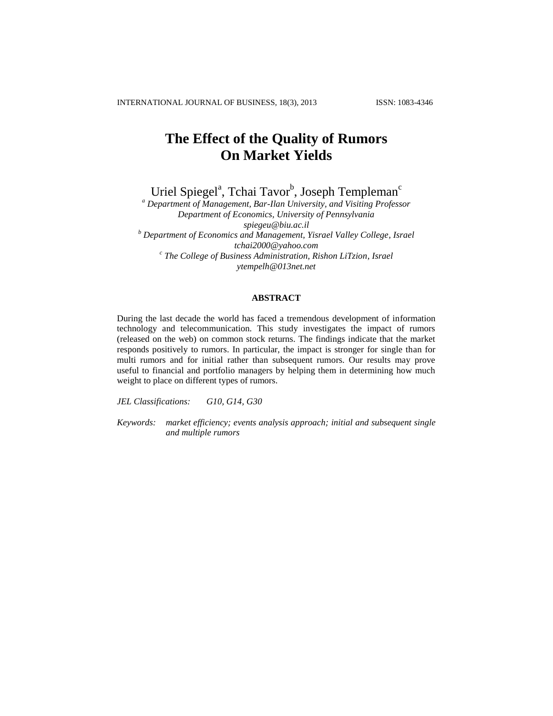# **The Effect of the Quality of Rumors On Market Yields**

Uriel Spiegel<sup>a</sup>, Tchai Tavor<sup>b</sup>, Joseph Templeman<sup>c</sup>

*<sup>a</sup> Department of Management, Bar-Ilan University, and Visiting Professor Department of Economics, University of Pennsylvania spiegeu@biu.ac.il <sup>b</sup> Department of Economics and Management, Yisrael Valley College, Israel tchai2000@yahoo.com c The College of Business Administration, Rishon LiTzion, Israel ytempelh@013net.net*

# **ABSTRACT**

During the last decade the world has faced a tremendous development of information technology and telecommunication. This study investigates the impact of rumors (released on the web) on common stock returns. The findings indicate that the market responds positively to rumors. In particular, the impact is stronger for single than for multi rumors and for initial rather than subsequent rumors. Our results may prove useful to financial and portfolio managers by helping them in determining how much weight to place on different types of rumors.

*JEL Classifications: G10, G14, G30*

*Keywords: market efficiency; events analysis approach; initial and subsequent single and multiple rumors*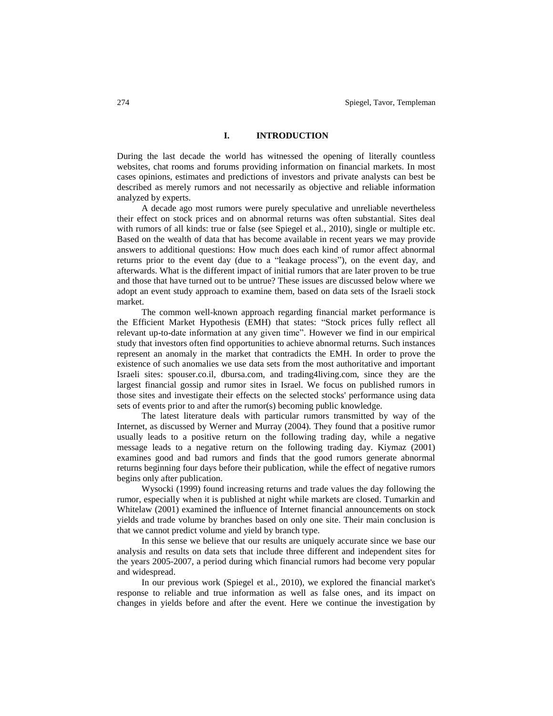# **I. INTRODUCTION**

During the last decade the world has witnessed the opening of literally countless websites, chat rooms and forums providing information on financial markets. In most cases opinions, estimates and predictions of investors and private analysts can best be described as merely rumors and not necessarily as objective and reliable information analyzed by experts.

A decade ago most rumors were purely speculative and unreliable nevertheless their effect on stock prices and on abnormal returns was often substantial. Sites deal with rumors of all kinds: true or false (see Spiegel et al., 2010), single or multiple etc. Based on the wealth of data that has become available in recent years we may provide answers to additional questions: How much does each kind of rumor affect abnormal returns prior to the event day (due to a "leakage process"), on the event day, and afterwards. What is the different impact of initial rumors that are later proven to be true and those that have turned out to be untrue? These issues are discussed below where we adopt an event study approach to examine them, based on data sets of the Israeli stock market.

The common well-known approach regarding financial market performance is the Efficient Market Hypothesis (EMH) that states: "Stock prices fully reflect all relevant up-to-date information at any given time". However we find in our empirical study that investors often find opportunities to achieve abnormal returns. Such instances represent an anomaly in the market that contradicts the EMH. In order to prove the existence of such anomalies we use data sets from the most authoritative and important Israeli sites: spouser.co.il, dbursa.com, and trading4living.com, since they are the largest financial gossip and rumor sites in Israel. We focus on published rumors in those sites and investigate their effects on the selected stocks' performance using data sets of events prior to and after the rumor(s) becoming public knowledge.

The latest literature deals with particular rumors transmitted by way of the Internet, as discussed by Werner and Murray (2004). They found that a positive rumor usually leads to a positive return on the following trading day, while a negative message leads to a negative return on the following trading day. Kiymaz (2001) examines good and bad rumors and finds that the good rumors generate abnormal returns beginning four days before their publication, while the effect of negative rumors begins only after publication.

Wysocki (1999) found increasing returns and trade values the day following the rumor, especially when it is published at night while markets are closed. Tumarkin and Whitelaw (2001) examined the influence of Internet financial announcements on stock yields and trade volume by branches based on only one site. Their main conclusion is that we cannot predict volume and yield by branch type.

In this sense we believe that our results are uniquely accurate since we base our analysis and results on data sets that include three different and independent sites for the years 2005-2007, a period during which financial rumors had become very popular and widespread.

In our previous work (Spiegel et al., 2010), we explored the financial market's response to reliable and true information as well as false ones, and its impact on changes in yields before and after the event. Here we continue the investigation by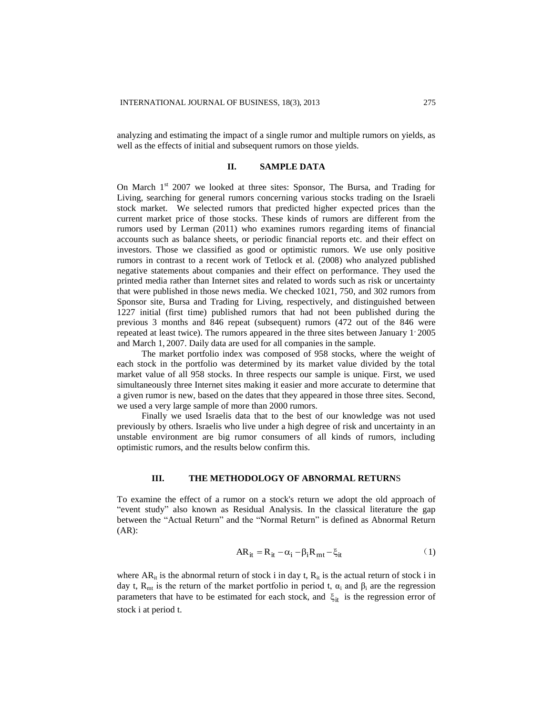analyzing and estimating the impact of a single rumor and multiple rumors on yields, as well as the effects of initial and subsequent rumors on those yields.

#### **II. SAMPLE DATA**

On March 1<sup>st</sup> 2007 we looked at three sites: Sponsor, The Bursa, and Trading for Living, searching for general rumors concerning various stocks trading on the Israeli stock market. We selected rumors that predicted higher expected prices than the current market price of those stocks. These kinds of rumors are different from the rumors used by Lerman (2011) who examines rumors regarding items of financial accounts such as balance sheets, or periodic financial reports etc. and their effect on investors. Those we classified as good or optimistic rumors. We use only positive rumors in contrast to a recent work of Tetlock et al. (2008) who analyzed published negative statements about companies and their effect on performance. They used the printed media rather than Internet sites and related to words such as risk or uncertainty that were published in those news media. We checked 1021, 750, and 302 rumors from Sponsor site, Bursa and Trading for Living, respectively, and distinguished between 1227 initial (first time) published rumors that had not been published during the previous 3 months and 846 repeat (subsequent) rumors (472 out of the 846 were repeated at least twice). The rumors appeared in the three sites between January 1 2005 and March 1, 2007. Daily data are used for all companies in the sample.

The market portfolio index was composed of 958 stocks, where the weight of each stock in the portfolio was determined by its market value divided by the total market value of all 958 stocks. In three respects our sample is unique. First, we used simultaneously three Internet sites making it easier and more accurate to determine that a given rumor is new, based on the dates that they appeared in those three sites. Second, we used a very large sample of more than 2000 rumors.

Finally we used Israelis data that to the best of our knowledge was not used previously by others. Israelis who live under a high degree of risk and uncertainty in an unstable environment are big rumor consumers of all kinds of rumors, including optimistic rumors, and the results below confirm this.

## **III. THE METHODOLOGY OF ABNORMAL RETURN**S

To examine the effect of a rumor on a stock's return we adopt the old approach of "event study" also known as Residual Analysis. In the classical literature the gap between the "Actual Return" and the "Normal Return" is defined as Abnormal Return (AR):

$$
AR_{it} = R_{it} - \alpha_i - \beta_i R_{mt} - \xi_{it}
$$
 (1)

where  $AR_{it}$  is the abnormal return of stock i in day t,  $R_{it}$  is the actual return of stock i in day t,  $R_{mt}$  is the return of the market portfolio in period t,  $\alpha_i$  and  $\beta_i$  are the regression parameters that have to be estimated for each stock, and  $\xi_{it}$  is the regression error of stock i at period t.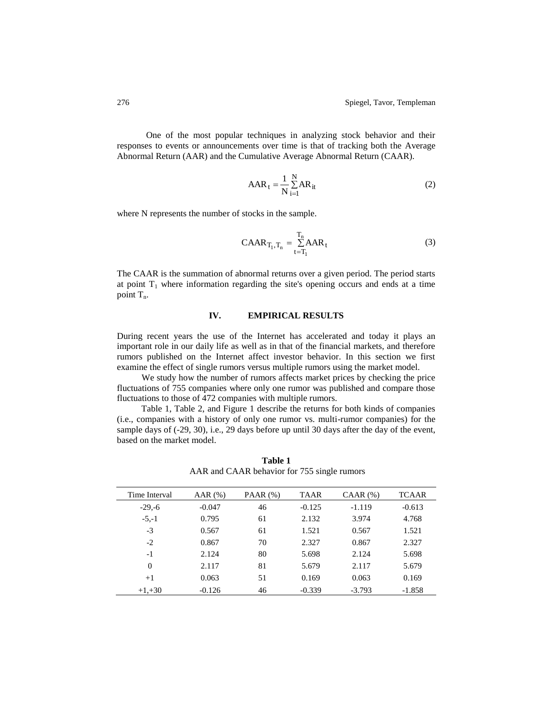One of the most popular techniques in analyzing stock behavior and their responses to events or announcements over time is that of tracking both the Average Abnormal Return (AAR) and the Cumulative Average Abnormal Return (CAAR).

$$
AAR_t = \frac{1}{N} \sum_{i=1}^{N} AR_{it}
$$
 (2)

where N represents the number of stocks in the sample.

$$
CABA_{T_1,T_n} = \sum_{t=T_1}^{T_n} AAR_t
$$
\n(3)

The CAAR is the summation of abnormal returns over a given period. The period starts at point  $T_1$  where information regarding the site's opening occurs and ends at a time point  $T_n$ .

# **IV. EMPIRICAL RESULTS**

During recent years the use of the Internet has accelerated and today it plays an important role in our daily life as well as in that of the financial markets, and therefore rumors published on the Internet affect investor behavior. In this section we first examine the effect of single rumors versus multiple rumors using the market model.

We study how the number of rumors affects market prices by checking the price fluctuations of 755 companies where only one rumor was published and compare those fluctuations to those of 472 companies with multiple rumors.

Table 1, Table 2, and Figure 1 describe the returns for both kinds of companies (i.e., companies with a history of only one rumor vs. multi-rumor companies) for the sample days of (-29, 30), i.e., 29 days before up until 30 days after the day of the event, based on the market model.

| Time Interval | AAR(%)   | PAAR $(\%)$ | <b>TAAR</b> | $CAAR$ $(\%)$ | TCAAR    |
|---------------|----------|-------------|-------------|---------------|----------|
| $-29,-6$      | $-0.047$ | 46          | $-0.125$    | $-1.119$      | $-0.613$ |
| $-5,-1$       | 0.795    | 61          | 2.132       | 3.974         | 4.768    |
| $-3$          | 0.567    | 61          | 1.521       | 0.567         | 1.521    |
| $-2$          | 0.867    | 70          | 2.327       | 0.867         | 2.327    |
| $-1$          | 2.124    | 80          | 5.698       | 2.124         | 5.698    |
| $\Omega$      | 2.117    | 81          | 5.679       | 2.117         | 5.679    |
| $+1$          | 0.063    | 51          | 0.169       | 0.063         | 0.169    |
| $+1.+30$      | $-0.126$ | 46          | $-0.339$    | $-3.793$      | $-1.858$ |

**Table 1** AAR and CAAR behavior for 755 single rumors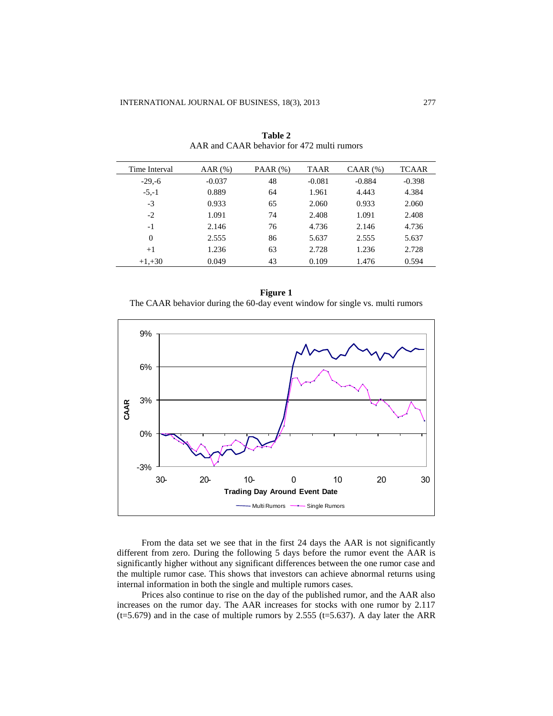| Time Interval | AAR $(\%)$ | PAAR $(\%)$ | <b>TAAR</b> | $CAAR$ $(\%)$ | <b>TCAAR</b> |
|---------------|------------|-------------|-------------|---------------|--------------|
| $-29,-6$      | $-0.037$   | 48          | $-0.081$    | $-0.884$      | $-0.398$     |
| $-5,-1$       | 0.889      | 64          | 1.961       | 4.443         | 4.384        |
| $-3$          | 0.933      | 65          | 2.060       | 0.933         | 2.060        |
| $-2$          | 1.091      | 74          | 2.408       | 1.091         | 2.408        |
| $-1$          | 2.146      | 76          | 4.736       | 2.146         | 4.736        |
| $\Omega$      | 2.555      | 86          | 5.637       | 2.555         | 5.637        |
| $+1$          | 1.236      | 63          | 2.728       | 1.236         | 2.728        |
| $+1, +30$     | 0.049      | 43          | 0.109       | 1.476         | 0.594        |

**Table 2** AAR and CAAR behavior for 472 multi rumors





From the data set we see that in the first 24 days the AAR is not significantly different from zero. During the following 5 days before the rumor event the AAR is significantly higher without any significant differences between the one rumor case and the multiple rumor case. This shows that investors can achieve abnormal returns using internal information in both the single and multiple rumors cases.

Prices also continue to rise on the day of the published rumor, and the AAR also increases on the rumor day. The AAR increases for stocks with one rumor by 2.117 ( $t=5.679$ ) and in the case of multiple rumors by 2.555 ( $t=5.637$ ). A day later the ARR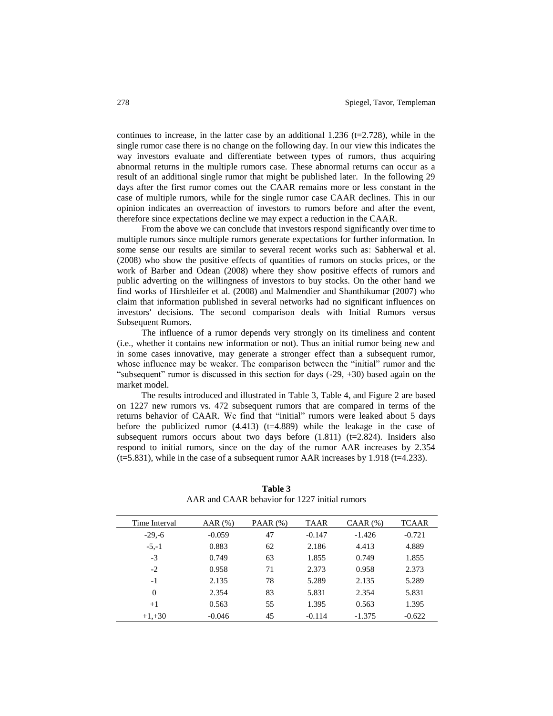continues to increase, in the latter case by an additional 1.236 ( $t=2.728$ ), while in the single rumor case there is no change on the following day. In our view this indicates the way investors evaluate and differentiate between types of rumors, thus acquiring abnormal returns in the multiple rumors case. These abnormal returns can occur as a result of an additional single rumor that might be published later. In the following 29 days after the first rumor comes out the CAAR remains more or less constant in the case of multiple rumors, while for the single rumor case CAAR declines. This in our opinion indicates an overreaction of investors to rumors before and after the event, therefore since expectations decline we may expect a reduction in the CAAR.

From the above we can conclude that investors respond significantly over time to multiple rumors since multiple rumors generate expectations for further information. In some sense our results are similar to several recent works such as: Sabherwal et al. (2008) who show the positive effects of quantities of rumors on stocks prices, or the work of Barber and Odean (2008) where they show positive effects of rumors and public adverting on the willingness of investors to buy stocks. On the other hand we find works of Hirshleifer et al. (2008) and Malmendier and Shanthikumar (2007) who claim that information published in several networks had no significant influences on investors' decisions. The second comparison deals with Initial Rumors versus Subsequent Rumors.

The influence of a rumor depends very strongly on its timeliness and content (i.e., whether it contains new information or not). Thus an initial rumor being new and in some cases innovative, may generate a stronger effect than a subsequent rumor, whose influence may be weaker. The comparison between the "initial" rumor and the "subsequent" rumor is discussed in this section for days  $(-29, +30)$  based again on the market model.

The results introduced and illustrated in Table 3, Table 4, and Figure 2 are based on 1227 new rumors vs. 472 subsequent rumors that are compared in terms of the returns behavior of CAAR. We find that "initial" rumors were leaked about 5 days before the publicized rumor  $(4.413)$  (t=4.889) while the leakage in the case of subsequent rumors occurs about two days before  $(1.811)$  (t=2.824). Insiders also respond to initial rumors, since on the day of the rumor AAR increases by 2.354  $(t=5.831)$ , while in the case of a subsequent rumor AAR increases by 1.918 ( $t=4.233$ ).

| Time Interval | AAR(%)   | PAAR $(\%)$ | <b>TAAR</b> | $CAAR$ $(\%)$ | <b>TCAAR</b> |
|---------------|----------|-------------|-------------|---------------|--------------|
| $-29,-6$      | $-0.059$ | 47          | $-0.147$    | $-1.426$      | $-0.721$     |
| $-5,-1$       | 0.883    | 62          | 2.186       | 4.413         | 4.889        |
| $-3$          | 0.749    | 63          | 1.855       | 0.749         | 1.855        |
| $-2$          | 0.958    | 71          | 2.373       | 0.958         | 2.373        |
| $-1$          | 2.135    | 78          | 5.289       | 2.135         | 5.289        |
| $\Omega$      | 2.354    | 83          | 5.831       | 2.354         | 5.831        |
| $+1$          | 0.563    | 55          | 1.395       | 0.563         | 1.395        |
| $+1, +30$     | $-0.046$ | 45          | $-0.114$    | $-1.375$      | $-0.622$     |

**Table 3** AAR and CAAR behavior for 1227 initial rumors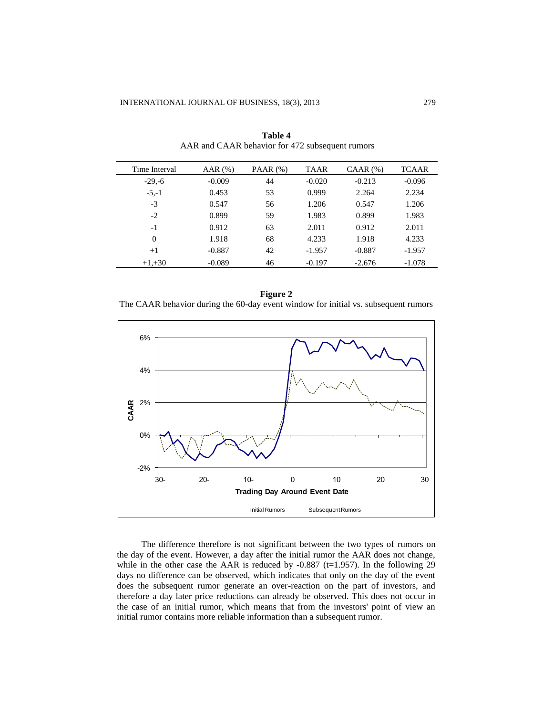| Time Interval | AAR $(%)$ | PAAR $(\%)$ | <b>TAAR</b> | $CAAR$ $(\% )$ | <b>TCAAR</b> |
|---------------|-----------|-------------|-------------|----------------|--------------|
| $-29,-6$      | $-0.009$  | 44          | $-0.020$    | $-0.213$       | $-0.096$     |
| $-5,-1$       | 0.453     | 53          | 0.999       | 2.264          | 2.234        |
| $-3$          | 0.547     | 56          | 1.206       | 0.547          | 1.206        |
| $-2$          | 0.899     | 59          | 1.983       | 0.899          | 1.983        |
| $-1$          | 0.912     | 63          | 2.011       | 0.912          | 2.011        |
| $\Omega$      | 1.918     | 68          | 4.233       | 1.918          | 4.233        |
| $+1$          | $-0.887$  | 42          | $-1.957$    | $-0.887$       | $-1.957$     |
| $+1, +30$     | $-0.089$  | 46          | $-0.197$    | $-2.676$       | $-1.078$     |

**Table 4** AAR and CAAR behavior for 472 subsequent rumors





The difference therefore is not significant between the two types of rumors on the day of the event. However, a day after the initial rumor the AAR does not change, while in the other case the AAR is reduced by  $-0.887$  (t=1.957). In the following 29 days no difference can be observed, which indicates that only on the day of the event does the subsequent rumor generate an over-reaction on the part of investors, and therefore a day later price reductions can already be observed. This does not occur in the case of an initial rumor, which means that from the investors' point of view an initial rumor contains more reliable information than a subsequent rumor.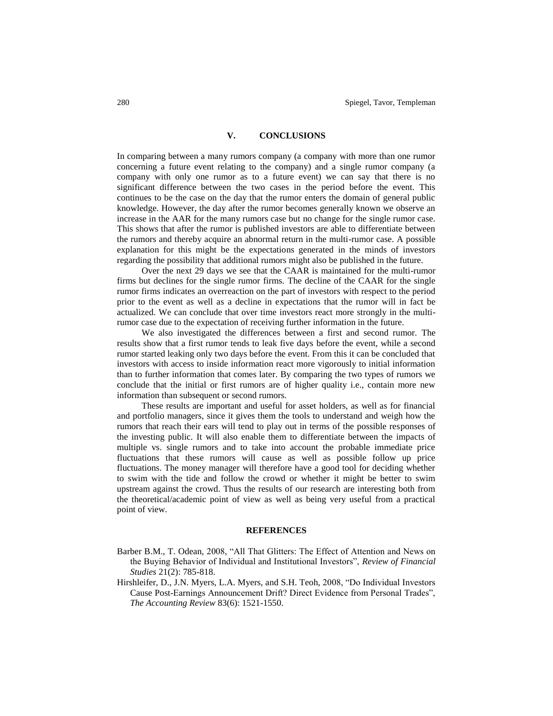## **V. CONCLUSIONS**

In comparing between a many rumors company (a company with more than one rumor concerning a future event relating to the company) and a single rumor company (a company with only one rumor as to a future event) we can say that there is no significant difference between the two cases in the period before the event. This continues to be the case on the day that the rumor enters the domain of general public knowledge. However, the day after the rumor becomes generally known we observe an increase in the AAR for the many rumors case but no change for the single rumor case. This shows that after the rumor is published investors are able to differentiate between the rumors and thereby acquire an abnormal return in the multi-rumor case. A possible explanation for this might be the expectations generated in the minds of investors regarding the possibility that additional rumors might also be published in the future.

Over the next 29 days we see that the CAAR is maintained for the multi-rumor firms but declines for the single rumor firms. The decline of the CAAR for the single rumor firms indicates an overreaction on the part of investors with respect to the period prior to the event as well as a decline in expectations that the rumor will in fact be actualized. We can conclude that over time investors react more strongly in the multirumor case due to the expectation of receiving further information in the future.

We also investigated the differences between a first and second rumor. The results show that a first rumor tends to leak five days before the event, while a second rumor started leaking only two days before the event. From this it can be concluded that investors with access to inside information react more vigorously to initial information than to further information that comes later. By comparing the two types of rumors we conclude that the initial or first rumors are of higher quality i.e., contain more new information than subsequent or second rumors.

These results are important and useful for asset holders, as well as for financial and portfolio managers, since it gives them the tools to understand and weigh how the rumors that reach their ears will tend to play out in terms of the possible responses of the investing public. It will also enable them to differentiate between the impacts of multiple vs. single rumors and to take into account the probable immediate price fluctuations that these rumors will cause as well as possible follow up price fluctuations. The money manager will therefore have a good tool for deciding whether to swim with the tide and follow the crowd or whether it might be better to swim upstream against the crowd. Thus the results of our research are interesting both from the theoretical/academic point of view as well as being very useful from a practical point of view.

#### **REFERENCES**

- Barber B.M., T. Odean, 2008, "All That Glitters: The Effect of Attention and News on the Buying Behavior of Individual and Institutional Investors", *Review of Financial Studies* 21(2): 785-818.
- Hirshleifer, D., J.N. Myers, L.A. Myers, and S.H. Teoh, 2008, "Do Individual Investors Cause Post-Earnings Announcement Drift? Direct Evidence from Personal Trades", *The Accounting Review* 83(6): 1521-1550.